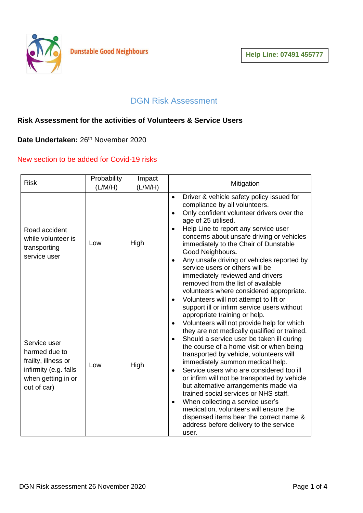

## DGN Risk Assessment

## **Risk Assessment for the activities of Volunteers & Service Users**

Date Undertaken: 26<sup>th</sup> November 2020

## New section to be added for Covid-19 risks

| <b>Risk</b>                                                                                                        | Probability<br>(L/M/H) | Impact<br>(L/M/H) | Mitigation                                                                                                                                                                                                                                                                                                                                                                                                                                                                                                                                                                                                                                                                                                                                                                                                              |
|--------------------------------------------------------------------------------------------------------------------|------------------------|-------------------|-------------------------------------------------------------------------------------------------------------------------------------------------------------------------------------------------------------------------------------------------------------------------------------------------------------------------------------------------------------------------------------------------------------------------------------------------------------------------------------------------------------------------------------------------------------------------------------------------------------------------------------------------------------------------------------------------------------------------------------------------------------------------------------------------------------------------|
| Road accident<br>while volunteer is<br>transporting<br>service user                                                | Low                    | High              | Driver & vehicle safety policy issued for<br>$\bullet$<br>compliance by all volunteers.<br>Only confident volunteer drivers over the<br>$\bullet$<br>age of 25 utilised.<br>Help Line to report any service user<br>$\bullet$<br>concerns about unsafe driving or vehicles<br>immediately to the Chair of Dunstable<br>Good Neighbours.<br>Any unsafe driving or vehicles reported by<br>$\bullet$<br>service users or others will be<br>immediately reviewed and drivers<br>removed from the list of available<br>volunteers where considered appropriate.                                                                                                                                                                                                                                                             |
| Service user<br>harmed due to<br>frailty, illness or<br>infirmity (e.g. falls<br>when getting in or<br>out of car) | Low                    | High              | Volunteers will not attempt to lift or<br>$\bullet$<br>support ill or infirm service users without<br>appropriate training or help.<br>Volunteers will not provide help for which<br>$\bullet$<br>they are not medically qualified or trained.<br>Should a service user be taken ill during<br>$\bullet$<br>the course of a home visit or when being<br>transported by vehicle, volunteers will<br>immediately summon medical help.<br>Service users who are considered too ill<br>$\bullet$<br>or infirm will not be transported by vehicle<br>but alternative arrangements made via<br>trained social services or NHS staff.<br>When collecting a service user's<br>$\bullet$<br>medication, volunteers will ensure the<br>dispensed items bear the correct name &<br>address before delivery to the service<br>user. |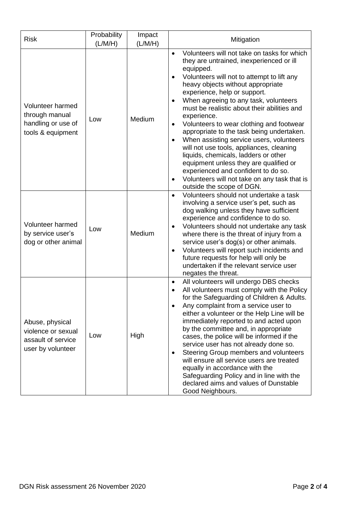| <b>Risk</b>                                                                      | Probability<br>(L/M/H) | Impact<br>(L/M/H) | Mitigation                                                                                                                                                                                                                                                                                                                                                                                                                                                                                                                                                                                                                                                                                                                                           |
|----------------------------------------------------------------------------------|------------------------|-------------------|------------------------------------------------------------------------------------------------------------------------------------------------------------------------------------------------------------------------------------------------------------------------------------------------------------------------------------------------------------------------------------------------------------------------------------------------------------------------------------------------------------------------------------------------------------------------------------------------------------------------------------------------------------------------------------------------------------------------------------------------------|
| Volunteer harmed<br>through manual<br>handling or use of<br>tools & equipment    | Low                    | Medium            | Volunteers will not take on tasks for which<br>$\bullet$<br>they are untrained, inexperienced or ill<br>equipped.<br>Volunteers will not to attempt to lift any<br>heavy objects without appropriate<br>experience, help or support.<br>When agreeing to any task, volunteers<br>$\bullet$<br>must be realistic about their abilities and<br>experience.<br>Volunteers to wear clothing and footwear<br>٠<br>appropriate to the task being undertaken.<br>When assisting service users, volunteers<br>will not use tools, appliances, cleaning<br>liquids, chemicals, ladders or other<br>equipment unless they are qualified or<br>experienced and confident to do so.<br>Volunteers will not take on any task that is<br>outside the scope of DGN. |
| Volunteer harmed<br>by service user's<br>dog or other animal                     | Low                    | Medium            | Volunteers should not undertake a task<br>$\bullet$<br>involving a service user's pet, such as<br>dog walking unless they have sufficient<br>experience and confidence to do so.<br>Volunteers should not undertake any task<br>where there is the threat of injury from a<br>service user's dog(s) or other animals.<br>Volunteers will report such incidents and<br>$\bullet$<br>future requests for help will only be<br>undertaken if the relevant service user<br>negates the threat.                                                                                                                                                                                                                                                           |
| Abuse, physical<br>violence or sexual<br>assault of service<br>user by volunteer | Low                    | High              | All volunteers will undergo DBS checks<br>$\bullet$<br>All volunteers must comply with the Policy<br>for the Safeguarding of Children & Adults.<br>Any complaint from a service user to<br>either a volunteer or the Help Line will be<br>immediately reported to and acted upon<br>by the committee and, in appropriate<br>cases, the police will be informed if the<br>service user has not already done so.<br>Steering Group members and volunteers<br>$\bullet$<br>will ensure all service users are treated<br>equally in accordance with the<br>Safeguarding Policy and in line with the<br>declared aims and values of Dunstable<br>Good Neighbours.                                                                                         |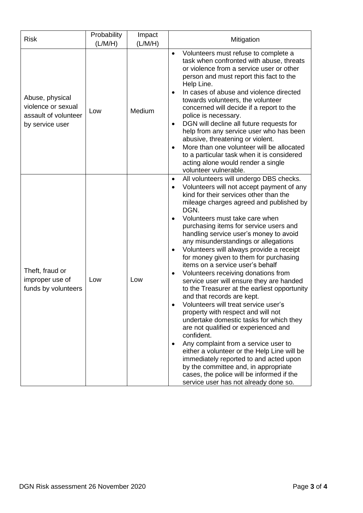| <b>Risk</b>                                                                      | Probability<br>(L/M/H) | Impact<br>(L/M/H) | Mitigation                                                                                                                                                                                                                                                                                                                                                                                                                                                                                                                                                                                                                                                                                                                                                                                                                                                                                                                                                                                                                                                                                                         |
|----------------------------------------------------------------------------------|------------------------|-------------------|--------------------------------------------------------------------------------------------------------------------------------------------------------------------------------------------------------------------------------------------------------------------------------------------------------------------------------------------------------------------------------------------------------------------------------------------------------------------------------------------------------------------------------------------------------------------------------------------------------------------------------------------------------------------------------------------------------------------------------------------------------------------------------------------------------------------------------------------------------------------------------------------------------------------------------------------------------------------------------------------------------------------------------------------------------------------------------------------------------------------|
| Abuse, physical<br>violence or sexual<br>assault of volunteer<br>by service user | Low                    | Medium            | Volunteers must refuse to complete a<br>$\bullet$<br>task when confronted with abuse, threats<br>or violence from a service user or other<br>person and must report this fact to the<br>Help Line.<br>In cases of abuse and violence directed<br>$\bullet$<br>towards volunteers, the volunteer<br>concerned will decide if a report to the<br>police is necessary.<br>DGN will decline all future requests for<br>$\bullet$<br>help from any service user who has been<br>abusive, threatening or violent.<br>More than one volunteer will be allocated<br>$\bullet$<br>to a particular task when it is considered<br>acting alone would render a single<br>volunteer vulnerable.                                                                                                                                                                                                                                                                                                                                                                                                                                 |
| Theft, fraud or<br>improper use of<br>funds by volunteers                        | Low                    | Low               | All volunteers will undergo DBS checks.<br>$\bullet$<br>Volunteers will not accept payment of any<br>kind for their services other than the<br>mileage charges agreed and published by<br>DGN.<br>Volunteers must take care when<br>purchasing items for service users and<br>handling service user's money to avoid<br>any misunderstandings or allegations<br>Volunteers will always provide a receipt<br>$\bullet$<br>for money given to them for purchasing<br>items on a service user's behalf<br>Volunteers receiving donations from<br>service user will ensure they are handed<br>to the Treasurer at the earliest opportunity<br>and that records are kept.<br>Volunteers will treat service user's<br>property with respect and will not<br>undertake domestic tasks for which they<br>are not qualified or experienced and<br>confident.<br>Any complaint from a service user to<br>either a volunteer or the Help Line will be<br>immediately reported to and acted upon<br>by the committee and, in appropriate<br>cases, the police will be informed if the<br>service user has not already done so. |